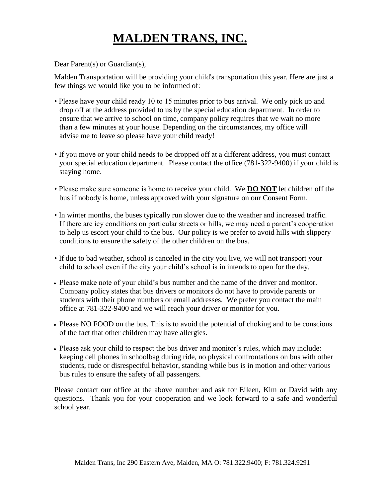## **MALDEN TRANS, INC.**

Dear Parent(s) or Guardian(s),

Malden Transportation will be providing your child's transportation this year. Here are just a few things we would like you to be informed of:

- Please have your child ready 10 to 15 minutes prior to bus arrival. We only pick up and drop off at the address provided to us by the special education department. In order to ensure that we arrive to school on time, company policy requires that we wait no more than a few minutes at your house. Depending on the circumstances, my office will advise me to leave so please have your child ready!
- If you move or your child needs to be dropped off at a different address, you must contact your special education department. Please contact the office (781-322-9400) if your child is staying home.
- Please make sure someone is home to receive your child. We **DO NOT** let children off the bus if nobody is home, unless approved with your signature on our Consent Form.
- In winter months, the buses typically run slower due to the weather and increased traffic. If there are icy conditions on particular streets or hills, we may need a parent's cooperation to help us escort your child to the bus. Our policy is we prefer to avoid hills with slippery conditions to ensure the safety of the other children on the bus.
- If due to bad weather, school is canceled in the city you live, we will not transport your child to school even if the city your child's school is in intends to open for the day.
- Please make note of your child's bus number and the name of the driver and monitor. Company policy states that bus drivers or monitors do not have to provide parents or students with their phone numbers or email addresses. We prefer you contact the main office at 781-322-9400 and we will reach your driver or monitor for you.
- Please NO FOOD on the bus. This is to avoid the potential of choking and to be conscious of the fact that other children may have allergies.
- Please ask your child to respect the bus driver and monitor's rules, which may include: keeping cell phones in schoolbag during ride, no physical confrontations on bus with other students, rude or disrespectful behavior, standing while bus is in motion and other various bus rules to ensure the safety of all passengers.

Please contact our office at the above number and ask for Eileen, Kim or David with any questions. Thank you for your cooperation and we look forward to a safe and wonderful school year.